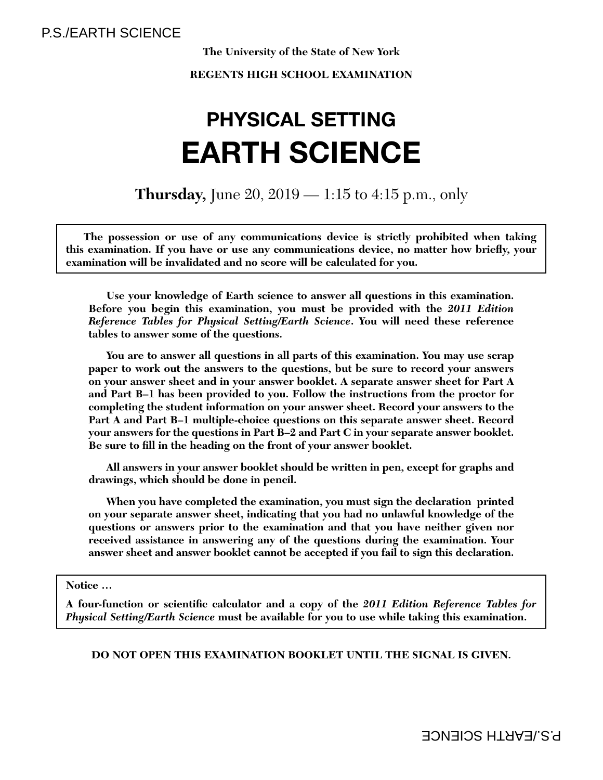# **The University of the State of New York**

# **REGENTS HIGH SCHOOL EXAMINATION**

# **PHYSICAL SETTINGEARTH SCIENCE**

**Thursday,** June 20, 2019 — 1:15 to 4:15 p.m., only

**The possession or use of any communications device is strictly prohibited when taking**  this examination. If you have or use any communications device, no matter how briefly, your **examination will be invalidated and no score will be calculated for you.**

**Use your knowledge of Earth science to answer all questions in this examination. Before you begin this examination, you must be provided with the** *2011 Edition Reference Tables for Physical Setting/Earth Science***. You will need these reference tables to answer some of the questions.**

**You are to answer all questions in all parts of this examination. You may use scrap paper to work out the answers to the questions, but be sure to record your answers on your answer sheet and in your answer booklet. A separate answer sheet for Part A and Part B–1 has been provided to you. Follow the instructions from the proctor for completing the student information on your answer sheet. Record your answers to the Part A and Part B–1 multiple-choice questions on this separate answer sheet. Record your answers for the questions in Part B–2 and Part C in your separate answer booklet.**  Be sure to fill in the heading on the front of your answer booklet.

**All answers in your answer booklet should be written in pen, except for graphs and drawings, which should be done in pencil.**

**When you have completed the examination, you must sign the declaration printed on your separate answer sheet, indicating that you had no unlawful knowledge of the questions or answers prior to the examination and that you have neither given nor received assistance in answering any of the questions during the examination. Your answer sheet and answer booklet cannot be accepted if you fail to sign this declaration.**

 **Notice …**

A four-function or scientific calculator and a copy of the 2011 Edition Reference Tables for *Physical Setting/Earth Science* **must be available for you to use while taking this examination.**

# **DO NOT OPEN THIS EXAMINATION BOOKLET UNTIL THE SIGNAL IS GIVEN.**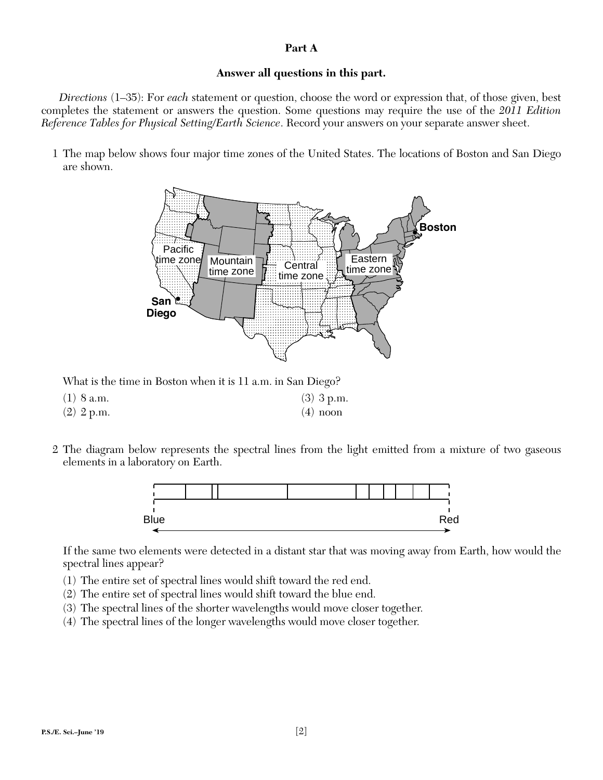### **Part A**

# **Answer all questions in this part.**

*Directions* (1–35): For *each* statement or question, choose the word or expression that, of those given, best completes the statement or answers the question. Some questions may require the use of the *2011 Edition Reference Tables for Physical Setting/Earth Science*. Record your answers on your separate answer sheet.

 1 The map below shows four major time zones of the United States. The locations of Boston and San Diego are shown.



What is the time in Boston when it is 11 a.m. in San Diego?

- (1) 8 a.m. (3) 3 p.m. (2)  $2 p.m.$  (4) noon
- 2 The diagram below represents the spectral lines from the light emitted from a mixture of two gaseous elements in a laboratory on Earth.



If the same two elements were detected in a distant star that was moving away from Earth, how would the spectral lines appear?

- (1) The entire set of spectral lines would shift toward the red end.
- (2) The entire set of spectral lines would shift toward the blue end.
- (3) The spectral lines of the shorter wavelengths would move closer together.
- (4) The spectral lines of the longer wavelengths would move closer together.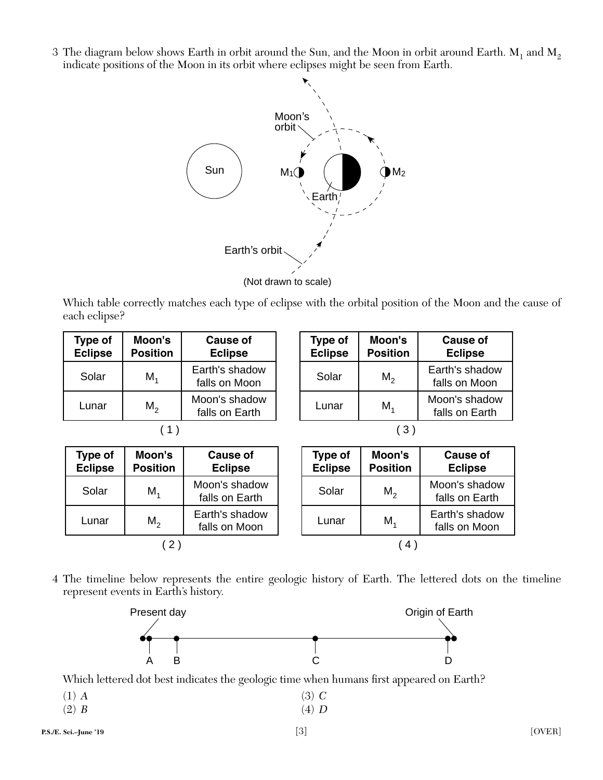3 The diagram below shows Earth in orbit around the Sun, and the Moon in orbit around Earth.  $M_1$  and  $M_2$ indicate positions of the Moon in its orbit where eclipses might be seen from Earth.



Which table correctly matches each type of eclipse with the orbital position of the Moon and the cause of each eclipse?

| Type of<br><b>Eclipse</b> | Moon's<br><b>Position</b> | <b>Cause of</b><br><b>Eclipse</b> | Type of<br><b>Eclipse</b> | Moon's<br><b>Position</b> | <b>Cause of</b><br><b>Eclipse</b> |
|---------------------------|---------------------------|-----------------------------------|---------------------------|---------------------------|-----------------------------------|
| Solar                     | M <sub>4</sub>            | Earth's shadow<br>falls on Moon   | Solar                     | M <sub>2</sub>            | Earth's shadov<br>falls on Moon   |
| Lunar                     | $M_2$                     | Moon's shadow<br>falls on Earth   | Lunar                     | M <sub>4</sub>            | Moon's shadov<br>falls on Earth   |
|                           |                           |                                   |                           | (3                        |                                   |

**Moon's Position**

| ı's<br>on | <b>Cause of</b><br><b>Eclipse</b> | Type of<br>Eclipse | Moon's<br><b>Position</b> | <b>Cause of</b><br><b>Eclipse</b> |
|-----------|-----------------------------------|--------------------|---------------------------|-----------------------------------|
|           | Moon's shadow<br>falls on Earth   | Solar              | $M_{2}$                   | Moon's shadow<br>falls on Earth   |
|           | Earth's shadow<br>falls on Moon   | Lunar              | $M_{4}$                   | Earth's shadow<br>falls on Moon   |
|           |                                   |                    |                           |                                   |

shadow

shadow

 4 The timeline below represents the entire geologic history of Earth. The lettered dots on the timeline represent events in Earth's history.



Which lettered dot best indicates the geologic time when humans first appeared on Earth?

| $(1)$ A | $(3)$ C                 |
|---------|-------------------------|
| $(n)$ n | $(1)$ $\mathbf{\Omega}$ |

(2) *B* (4) *D*

**Type of Eclipse**

Solar  $M_1$ 

Lunar  $M_2$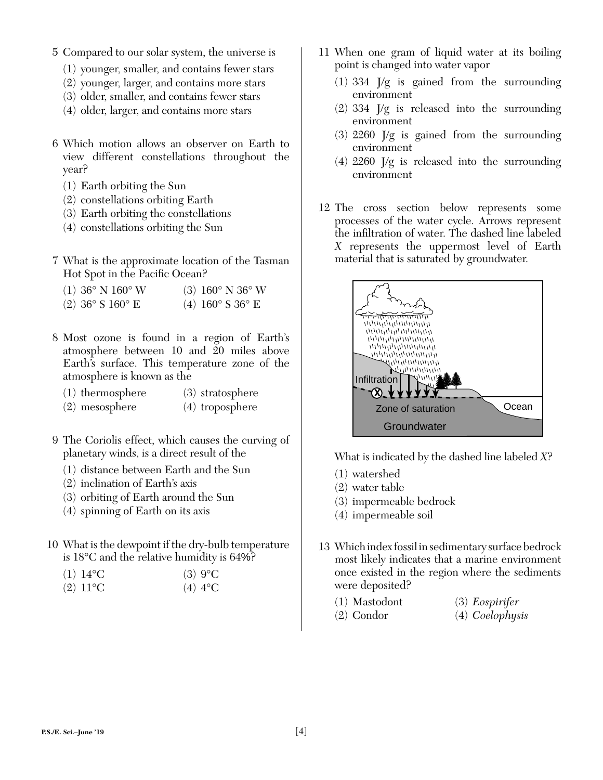- 5 Compared to our solar system, the universe is
	- (1) younger, smaller, and contains fewer stars
	- (2) younger, larger, and contains more stars
	- (3) older, smaller, and contains fewer stars
	- (4) older, larger, and contains more stars
- 6 Which motion allows an observer on Earth to view different constellations throughout the year?
	- (1) Earth orbiting the Sun
	- (2) constellations orbiting Earth
	- (3) Earth orbiting the constellations
	- (4) constellations orbiting the Sun
- 7 What is the approximate location of the Tasman Hot Spot in the Pacific Ocean?
	- (1)  $36^{\circ}$  N  $160^{\circ}$  W (3)  $160^{\circ}$  N  $36^{\circ}$  W
	- (2)  $36^{\circ}$  S  $160^{\circ}$  E (4)  $160^{\circ}$  S  $36^{\circ}$  E
- 8 Most ozone is found in a region of Earth's atmosphere between 10 and 20 miles above Earth's surface. This temperature zone of the atmosphere is known as the
	- (1) thermosphere (3) stratosphere
	- (2) mesosphere (4) troposphere
- 9 The Coriolis effect, which causes the curving of planetary winds, is a direct result of the
	- (1) distance between Earth and the Sun
	- (2) inclination of Earth's axis
	- (3) orbiting of Earth around the Sun
	- (4) spinning of Earth on its axis
- 10 What is the dewpoint if the dry-bulb temperature is 18°C and the relative humidity is 64%?

| $(1) 14$ °C       | $(3)$ 9 <sup>o</sup> C |
|-------------------|------------------------|
| $(2) 11^{\circ}C$ | (4) $4^{\circ}$ C      |

- 11 When one gram of liquid water at its boiling point is changed into water vapor
	- (1) 334 J/g is gained from the surrounding environment
	- (2) 334 J/g is released into the surrounding environment
	- (3) 2260 J/g is gained from the surrounding environment
	- (4) 2260 J/g is released into the surrounding environment
- 12 The cross section below represents some processes of the water cycle. Arrows represent the infiltration of water. The dashed line labeled *X* represents the uppermost level of Earth material that is saturated by groundwater.



What is indicated by the dashed line labeled *X*?

- (1) watershed
- (2) water table
- (3) impermeable bedrock
- (4) impermeable soil
- 13 Which index fossil in sedimentary surface bedrock most likely indicates that a marine environment once existed in the region where the sediments were deposited?
	- (1) Mastodont (3) *Eospirifer*
	- (2) Condor (4) *Coelophysis*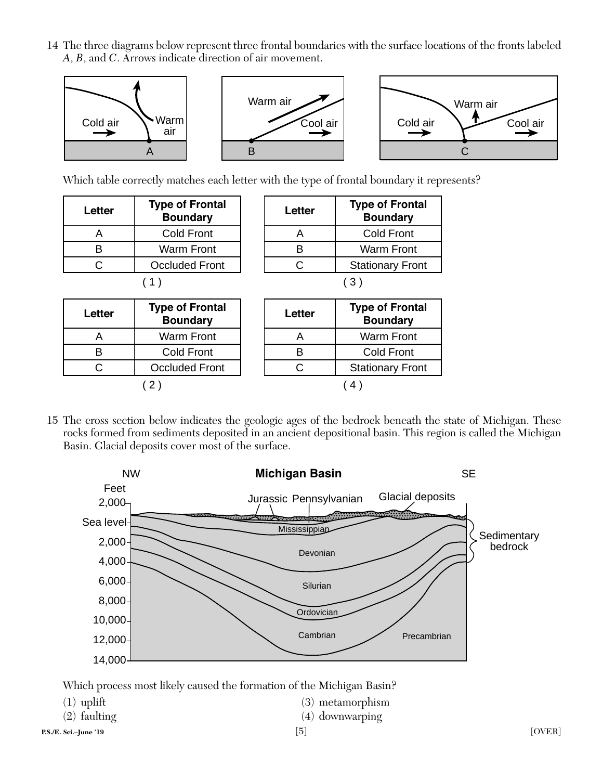14 The three diagrams below represent three frontal boundaries with the surface locations of the fronts labeled *A*, *B*, and *C*. Arrows indicate direction of air movement.



Which table correctly matches each letter with the type of frontal boundary it represents?

| Letter | <b>Type of Frontal</b><br><b>Boundary</b> | Letter | <b>Type of Fron</b><br><b>Boundary</b> |
|--------|-------------------------------------------|--------|----------------------------------------|
|        | <b>Cold Front</b>                         |        | <b>Cold Front</b>                      |
|        | Warm Front                                |        | <b>Warm Fron</b>                       |
|        | <b>Occluded Front</b>                     |        | Stationary Fro                         |
|        |                                           |        |                                        |

| etter: | <b>Type of Frontal</b><br><b>Boundary</b> | Letter | <b>Type of Frontal</b><br><b>Boundary</b> |
|--------|-------------------------------------------|--------|-------------------------------------------|
| Α      | Cold Front                                |        | <b>Cold Front</b>                         |
| B      | <b>Warm Front</b>                         |        | <b>Warm Front</b>                         |
| C      | <b>Occluded Front</b>                     | C.     | <b>Stationary Front</b>                   |
|        |                                           |        | (3)                                       |

| <b>Type of Frontal</b><br>Letter<br><b>Boundary</b> |                       |
|-----------------------------------------------------|-----------------------|
|                                                     | Warm Front            |
| R                                                   | Cold Front            |
| ( :                                                 | <b>Occluded Front</b> |
|                                                     |                       |

| etter: | <b>Type of Frontal</b><br><b>Boundary</b> |  | Letter | <b>Type of Frontal</b><br><b>Boundary</b> |
|--------|-------------------------------------------|--|--------|-------------------------------------------|
| Α      | <b>Warm Front</b>                         |  |        | <b>Warm Front</b>                         |
| B      | Cold Front                                |  |        | <b>Cold Front</b>                         |
| C      | <b>Occluded Front</b>                     |  |        | <b>Stationary Front</b>                   |
|        |                                           |  |        |                                           |

 15 The cross section below indicates the geologic ages of the bedrock beneath the state of Michigan. These rocks formed from sediments deposited in an ancient depositional basin. This region is called the Michigan Basin. Glacial deposits cover most of the surface.



Which process most likely caused the formation of the Michigan Basin?

| $(1)$ uplift<br>$(2)$ faulting | $(3)$ metamorphism<br>$(4)$ downwarping |        |
|--------------------------------|-----------------------------------------|--------|
| P.S./E. Sci.–June '19          | [5]                                     | [OVER] |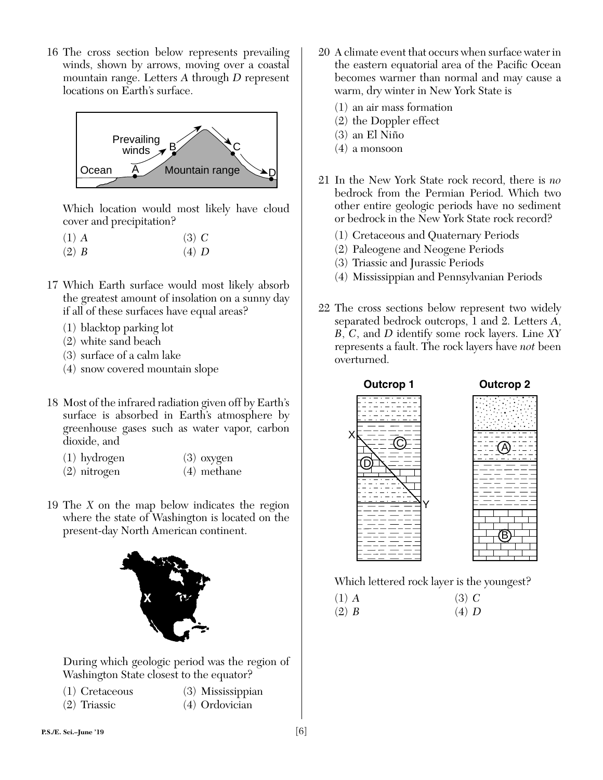16 The cross section below represents prevailing winds, shown by arrows, moving over a coastal mountain range. Letters *A* through *D* represent locations on Earth's surface.



Which location would most likely have cloud cover and precipitation?

- (1) *A* (3) *C* (2) *B* (4) *D*
- 17 Which Earth surface would most likely absorb the greatest amount of insolation on a sunny day if all of these surfaces have equal areas?
	- (1) blacktop parking lot
	- (2) white sand beach
	- (3) surface of a calm lake
	- (4) snow covered mountain slope
- 18 Most of the infrared radiation given off by Earth's surface is absorbed in Earth's atmosphere by greenhouse gases such as water vapor, carbon dioxide, and
	- (1) hydrogen (3) oxygen
	- (2) nitrogen (4) methane
- 19 The *X* on the map below indicates the region where the state of Washington is located on the present-day North American continent.



During which geologic period was the region of Washington State closest to the equator?

- 
- (1) Cretaceous (3) Mississippian
- 
- (2) Triassic (4) Ordovician
- 20 A climate event that occurs when surface water in the eastern equatorial area of the Pacific Ocean becomes warmer than normal and may cause a warm, dry winter in New York State is
	- (1) an air mass formation
	- (2) the Doppler effect
	- $(3)$  an El Niño
	- (4) a monsoon
- 21 In the New York State rock record, there is *no* bedrock from the Permian Period. Which two other entire geologic periods have no sediment or bedrock in the New York State rock record?
	- (1) Cretaceous and Quaternary Periods
	- (2) Paleogene and Neogene Periods
	- (3) Triassic and Jurassic Periods
	- (4) Mississippian and Pennsylvanian Periods
- 22 The cross sections below represent two widely separated bedrock outcrops, 1 and 2. Letters *A*, *B*, *C*, and *D* identify some rock layers. Line *XY*  represents a fault. The rock layers have *not* been overturned.



| Outcrop 2 |  |
|-----------|--|
|-----------|--|

Which lettered rock layer is the youngest?

 $(1)$  *A*  $(3)$  *C* (2) *B* (4) *D*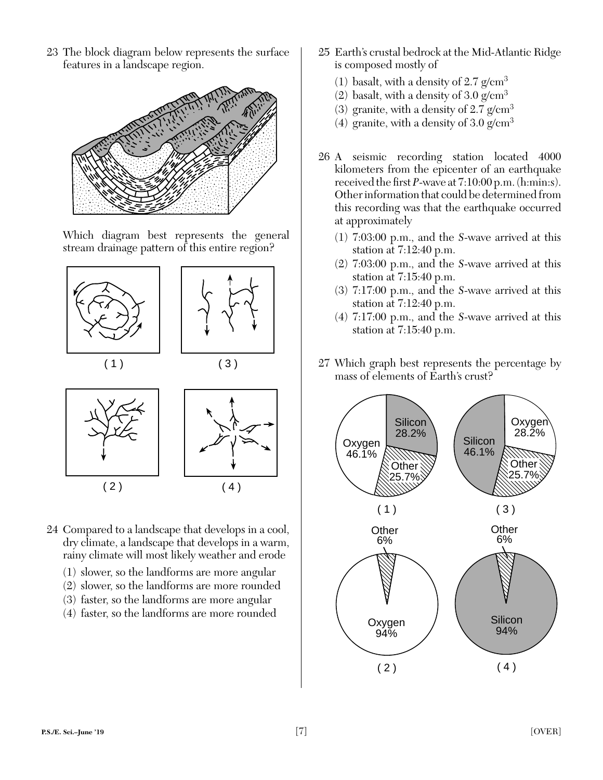23 The block diagram below represents the surface features in a landscape region.



Which diagram best represents the general stream drainage pattern of this entire region?



- 24 Compared to a landscape that develops in a cool, dry climate, a landscape that develops in a warm, rainy climate will most likely weather and erode
	- (1) slower, so the landforms are more angular
	- (2) slower, so the landforms are more rounded
	- (3) faster, so the landforms are more angular
	- (4) faster, so the landforms are more rounded
- 25 Earth's crustal bedrock at the Mid-Atlantic Ridge is composed mostly of
	- (1) basalt, with a density of  $2.7$  g/cm<sup>3</sup>
	- (2) basalt, with a density of  $3.0 \text{ g/cm}^3$
	- (3) granite, with a density of  $2.7$  g/cm<sup>3</sup>
	- (4) granite, with a density of  $3.0 \text{ g/cm}^3$
- 26 A seismic recording station located 4000 kilometers from the epicenter of an earthquake received the first  $P$ -wave at  $7:10:00$  p.m. (h:min:s). Other information that could be determined from this recording was that the earthquake occurred at approximately
	- (1) 7:03:00 p.m., and the *S*-wave arrived at this station at 7:12:40 p.m.
	- (2) 7:03:00 p.m., and the *S*-wave arrived at this station at 7:15:40 p.m.
	- (3) 7:17:00 p.m., and the *S*-wave arrived at this station at 7:12:40 p.m.
	- (4) 7:17:00 p.m., and the *S*-wave arrived at this station at 7:15:40 p.m.
- 27 Which graph best represents the percentage by mass of elements of Earth's crust?

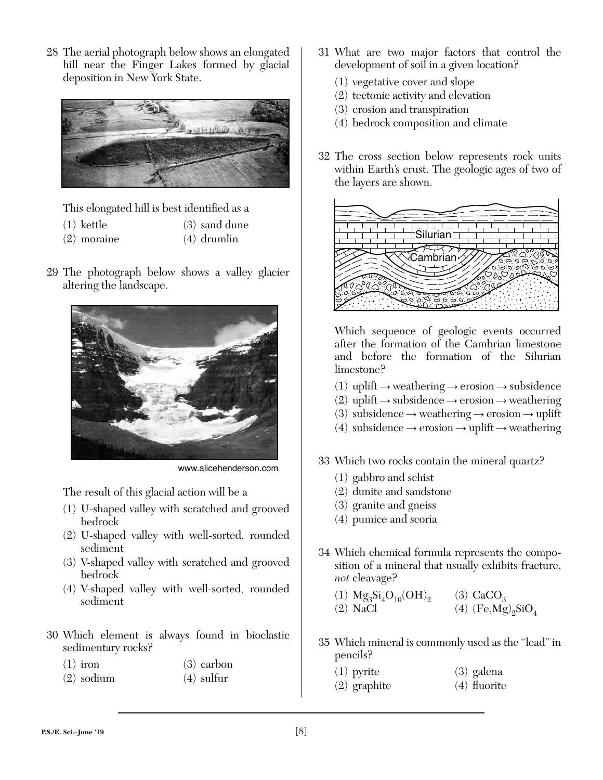28 The aerial photograph below shows an elongated hill near the Finger Lakes formed by glacial deposition in New York State.



This elongated hill is best identified as a

- (1) kettle (3) sand dune
- (2) moraine (4) drumlin
- 29 The photograph below shows a valley glacier altering the landscape.



www.alicehenderson.com

The result of this glacial action will be a

- (1) U-shaped valley with scratched and grooved bedrock
- (2) U-shaped valley with well-sorted, rounded sediment
- (3) V-shaped valley with scratched and grooved bedrock
- (4) V-shaped valley with well-sorted, rounded sediment
- 30 Which element is always found in bioclastic sedimentary rocks?
	- $(1)$  iron  $(3)$  carbon
	- (2) sodium (4) sulfur
- 31 What are two major factors that control the development of soil in a given location?
	- (1) vegetative cover and slope
	- (2) tectonic activity and elevation
	- (3) erosion and transpiration
	- (4) bedrock composition and climate
- 32 The cross section below represents rock units within Earth's crust. The geologic ages of two of the layers are shown.



Which sequence of geologic events occurred after the formation of the Cambrian limestone and before the formation of the Silurian limestone?

- $(1)$  uplift  $\rightarrow$  weathering  $\rightarrow$  erosion  $\rightarrow$  subsidence
- $(2)$  uplift  $\rightarrow$  subsidence  $\rightarrow$  erosion  $\rightarrow$  weathering
- $(3)$  subsidence  $\rightarrow$  weathering  $\rightarrow$  erosion  $\rightarrow$  uplift
- (4) subsidence  $\rightarrow$  erosion  $\rightarrow$  uplift  $\rightarrow$  weathering
- 33 Which two rocks contain the mineral quartz?
	- (1) gabbro and schist
	- (2) dunite and sandstone
	- (3) granite and gneiss
	- (4) pumice and scoria
- 34 Which chemical formula represents the composition of a mineral that usually exhibits fracture, *not* cleavage?
	- (1)  $Mg_3Si_4O_{10}(OH)_2$  (3)  $CaCO_3$ <br>(2) NaCl (4) (Fe,Mg) (4)  $(Fe, Mg)_{2}SiO_{4}$
- 35 Which mineral is commonly used as the "lead" in pencils?
	- (1) pyrite (3) galena
	- $(2)$  graphite  $(4)$  fluorite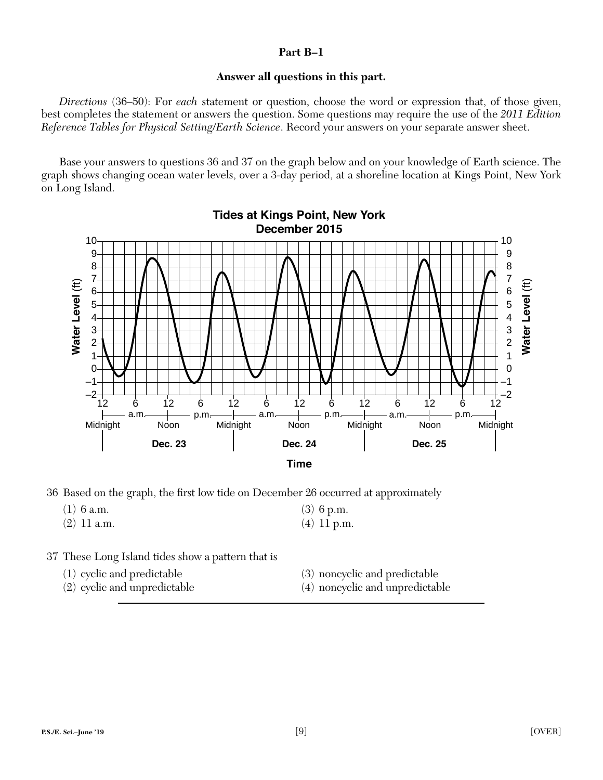# **Part B–1**

# **Answer all questions in this part.**

*Directions* (36–50): For *each* statement or question, choose the word or expression that, of those given, best completes the statement or answers the question. Some questions may require the use of the *2011 Edition Reference Tables for Physical Setting/Earth Science*. Record your answers on your separate answer sheet.

Base your answers to questions 36 and 37 on the graph below and on your knowledge of Earth science. The graph shows changing ocean water levels, over a 3-day period, at a shoreline location at Kings Point, New York on Long Island.



36 Based on the graph, the first low tide on December 26 occurred at approximately

| $(1)$ 6 a.m.  | $(3)$ 6 p.m.  |
|---------------|---------------|
| $(2)$ 11 a.m. | $(4)$ 11 p.m. |

- 37 These Long Island tides show a pattern that is
	-
	- (1) cyclic and predictable (3) noncyclic and predictable
	- (2) cyclic and unpredictable (4) noncyclic and unpredictable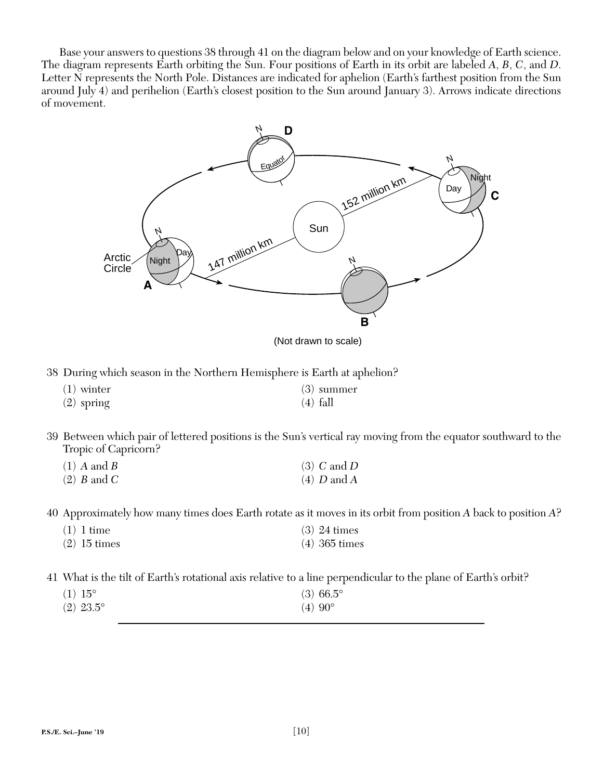Base your answers to questions 38 through 41 on the diagram below and on your knowledge of Earth science. The diagram represents Earth orbiting the Sun. Four positions of Earth in its orbit are labeled *A*, *B*, *C*, and *D*. Letter N represents the North Pole. Distances are indicated for aphelion (Earth's farthest position from the Sun around July 4) and perihelion (Earth's closest position to the Sun around January 3). Arrows indicate directions of movement.



(Not drawn to scale)

38 During which season in the Northern Hemisphere is Earth at aphelion?

| $(1)$ winter | $(3)$ summer |
|--------------|--------------|
| $(2)$ spring | $(4)$ fall   |

 39 Between which pair of lettered positions is the Sun's vertical ray moving from the equator southward to the Tropic of Capricorn?

| $(1)$ A and B | $(3)$ C and D |
|---------------|---------------|
| $(2)$ B and C | $(4)$ D and A |

40 Approximately how many times does Earth rotate as it moves in its orbit from position *A* back to position *A*?

| $(1)$ 1 time   | $(3)$ 24 times  |
|----------------|-----------------|
| $(2)$ 15 times | $(4)$ 365 times |

41 What is the tilt of Earth's rotational axis relative to a line perpendicular to the plane of Earth's orbit?

| $(1) 15^{\circ}$ | $(3)$ 66.5°     |
|------------------|-----------------|
| $(2)$ 23.5°      | $(4)90^{\circ}$ |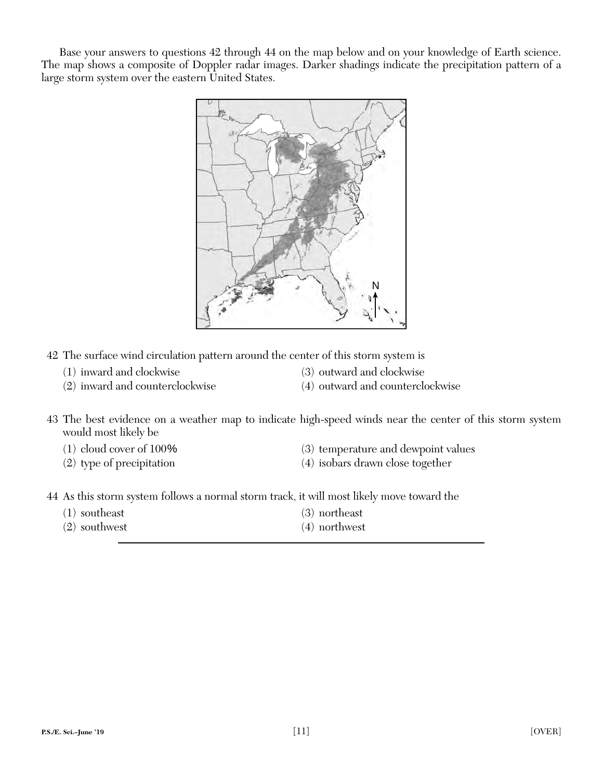Base your answers to questions 42 through 44 on the map below and on your knowledge of Earth science. The map shows a composite of Doppler radar images. Darker shadings indicate the precipitation pattern of a large storm system over the eastern United States.



- 42 The surface wind circulation pattern around the center of this storm system is
	- (1) inward and clockwise (3) outward and clockwise
		-
- 
- (2) inward and counterclockwise (4) outward and counterclockwise
- 43 The best evidence on a weather map to indicate high-speed winds near the center of this storm system would most likely be
	-
	-
	- (1) cloud cover of 100% (3) temperature and dewpoint values
	- (2) type of precipitation (4) isobars drawn close together
- 44 As this storm system follows a normal storm track, it will most likely move toward the
	- (1) southeast (3) northeast (2) southwest (4) northwest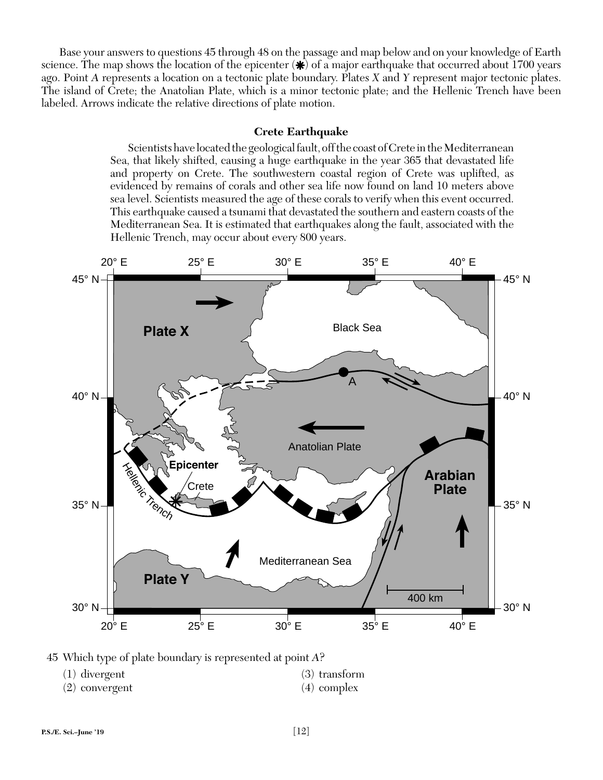Base your answers to questions 45 through 48 on the passage and map below and on your knowledge of Earth science. The map shows the location of the epicenter  $(\ast)$  of a major earthquake that occurred about 1700 years ago. Point *A* represents a location on a tectonic plate boundary. Plates *X* and *Y* represent major tectonic plates. The island of Crete; the Anatolian Plate, which is a minor tectonic plate; and the Hellenic Trench have been labeled. Arrows indicate the relative directions of plate motion.

#### **Crete Earthquake**

Scientists have located the geological fault, off the coast of Crete in the Mediterranean Sea, that likely shifted, causing a huge earthquake in the year 365 that devastated life and property on Crete. The southwestern coastal region of Crete was uplifted, as evidenced by remains of corals and other sea life now found on land 10 meters above sea level. Scientists measured the age of these corals to verify when this event occurred. This earthquake caused a tsunami that devastated the southern and eastern coasts of the Mediterranean Sea. It is estimated that earthquakes along the fault, associated with the Hellenic Trench, may occur about every 800 years.



45 Which type of plate boundary is represented at point *A*?

| $(1)$ divergent |
|-----------------|
|                 |

 $(3)$  transform (2) convergent (4) complex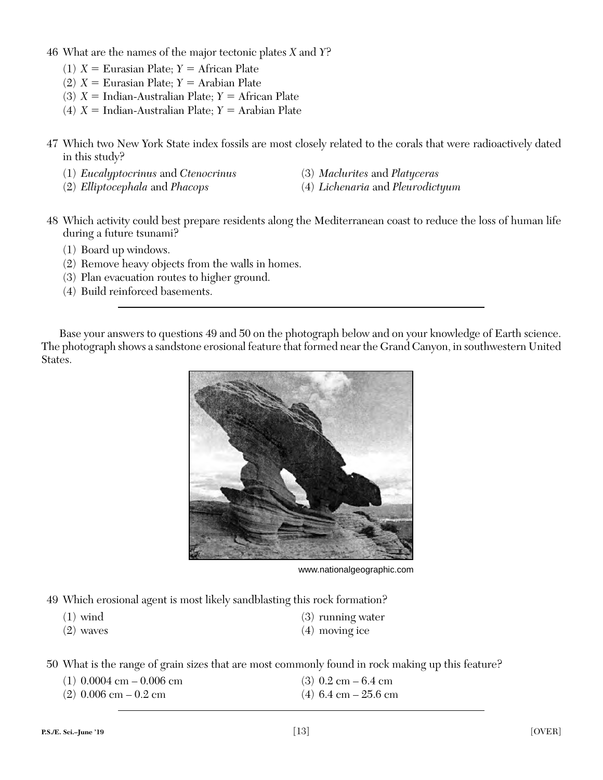- 46 What are the names of the major tectonic plates *X* and *Y*?
	- $(1)$   $X =$  Eurasian Plate;  $Y =$  African Plate
	- $(2)$  *X* = Eurasian Plate; *Y* = Arabian Plate
	- $(3)$  *X* = Indian-Australian Plate; *Y* = African Plate
	- $(4)$   $X =$  Indian-Australian Plate;  $Y =$  Arabian Plate
- 47 Which two New York State index fossils are most closely related to the corals that were radioactively dated in this study?
	- (1) *Eucalyptocrinus* and *Ctenocrinus* (3) *Maclurites* and *Platyceras*
		-
	- (2) *Elliptocephala* and *Phacops* (4) *Lichenaria* and *Pleurodictyum*
- 
- 48 Which activity could best prepare residents along the Mediterranean coast to reduce the loss of human life during a future tsunami?
	- (1) Board up windows.
	- (2) Remove heavy objects from the walls in homes.
	- (3) Plan evacuation routes to higher ground.
	- (4) Build reinforced basements.

Base your answers to questions 49 and 50 on the photograph below and on your knowledge of Earth science. The photograph shows a sandstone erosional feature that formed near the Grand Canyon, in southwestern United States.



www.nationalgeographic.com

49 Which erosional agent is most likely sandblasting this rock formation?

- 
- (2) waves (4) moving ice
- (1) wind (3) running water
	-

50 What is the range of grain sizes that are most commonly found in rock making up this feature?

- (1)  $0.0004 \text{ cm} 0.006 \text{ cm}$  (3)  $0.2 \text{ cm} 6.4 \text{ cm}$ (2)  $0.006 \text{ cm} - 0.2 \text{ cm}$  (4)  $6.4 \text{ cm} - 25.6 \text{ cm}$ 
	-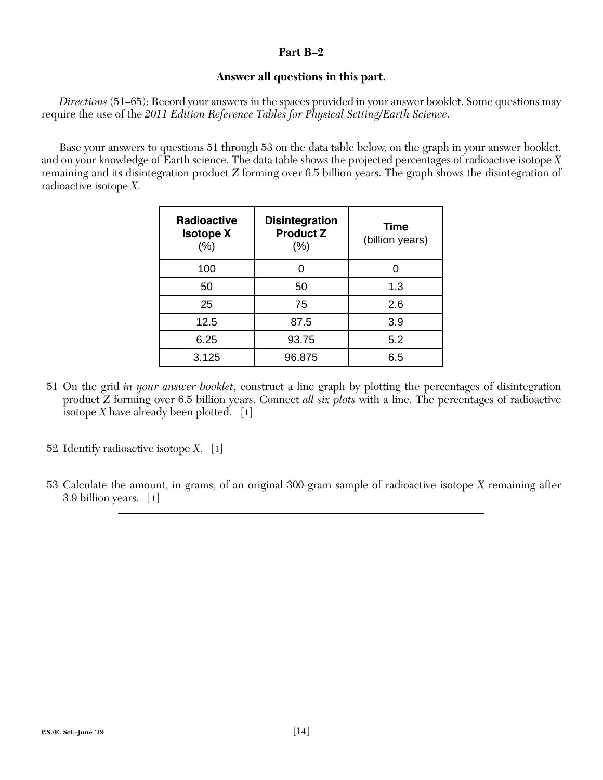# **Part B–2**

# **Answer all questions in this part.**

*Directions* (51–65): Record your answers in the spaces provided in your answer booklet. Some questions may require the use of the *2011 Edition Reference Tables for Physical Setting/Earth Science*.

Base your answers to questions 51 through 53 on the data table below, on the graph in your answer booklet, and on your knowledge of Earth science. The data table shows the projected percentages of radioactive isotope *X* remaining and its disintegration product *Z* forming over 6.5 billion years. The graph shows the disintegration of radioactive isotope *X*.

| <b>Radioactive</b><br><b>Isotope X</b><br>$(\%)$ | <b>Disintegration</b><br><b>Product Z</b><br>$(\% )$ | <b>Time</b><br>(billion years) |
|--------------------------------------------------|------------------------------------------------------|--------------------------------|
| 100                                              |                                                      |                                |
| 50                                               | 50                                                   | 1.3                            |
| 25                                               | 75                                                   | 2.6                            |
| 12.5                                             | 87.5                                                 | 3.9                            |
| 6.25                                             | 93.75                                                | 5.2                            |
| 3.125                                            | 96.875                                               | 6.5                            |

- 51 On the grid *in your answer booklet*, construct a line graph by plotting the percentages of disintegration product *Z* forming over 6.5 billion years. Connect *all six plots* with a line. The percentages of radioactive isotope *X* have already been plotted. [1]
- 52 Identify radioactive isotope *X*. [1]
- 53 Calculate the amount, in grams, of an original 300-gram sample of radioactive isotope *X* remaining after 3.9 billion years. [1]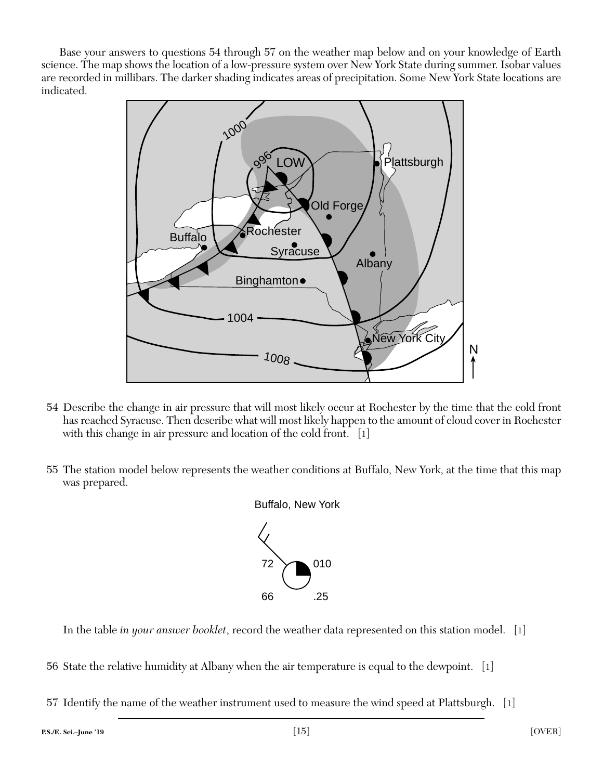Base your answers to questions 54 through 57 on the weather map below and on your knowledge of Earth science. The map shows the location of a low-pressure system over New York State during summer. Isobar values are recorded in millibars. The darker shading indicates areas of precipitation. Some New York State locations are indicated.



- 54 Describe the change in air pressure that will most likely occur at Rochester by the time that the cold front has reached Syracuse. Then describe what will most likely happen to the amount of cloud cover in Rochester with this change in air pressure and location of the cold front. [1]
- 55 The station model below represents the weather conditions at Buffalo, New York, at the time that this map was prepared.



In the table *in your answer booklet*, record the weather data represented on this station model. [1]

56 State the relative humidity at Albany when the air temperature is equal to the dewpoint. [1]

57 Identify the name of the weather instrument used to measure the wind speed at Plattsburgh. [1]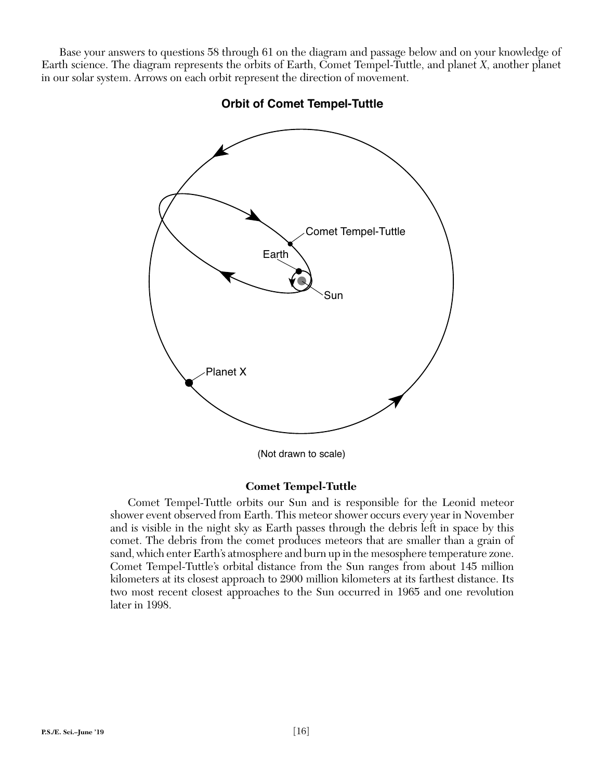Base your answers to questions 58 through 61 on the diagram and passage below and on your knowledge of Earth science. The diagram represents the orbits of Earth, Comet Tempel-Tuttle, and planet *X*, another planet in our solar system. Arrows on each orbit represent the direction of movement.



**Orbit of Comet Tempel-Tuttle**

(Not drawn to scale)

# **Comet Tempel-Tuttle**

Comet Tempel-Tuttle orbits our Sun and is responsible for the Leonid meteor shower event observed from Earth. This meteor shower occurs every year in November and is visible in the night sky as Earth passes through the debris left in space by this comet. The debris from the comet produces meteors that are smaller than a grain of sand, which enter Earth's atmosphere and burn up in the mesosphere temperature zone. Comet Tempel-Tuttle's orbital distance from the Sun ranges from about 145 million kilometers at its closest approach to 2900 million kilometers at its farthest distance. Its two most recent closest approaches to the Sun occurred in 1965 and one revolution later in 1998.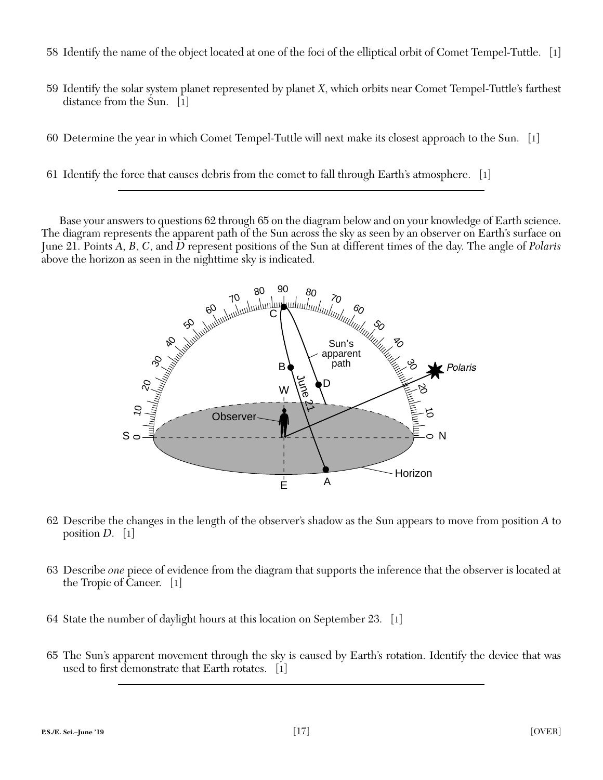- 58 Identify the name of the object located at one of the foci of the elliptical orbit of Comet Tempel-Tuttle. [1]
- 59 Identify the solar system planet represented by planet *X*, which orbits near Comet Tempel-Tuttle's farthest distance from the Sun. [1]
- 60 Determine the year in which Comet Tempel-Tuttle will next make its closest approach to the Sun. [1]
- 61 Identify the force that causes debris from the comet to fall through Earth's atmosphere. [1]

Base your answers to questions 62 through 65 on the diagram below and on your knowledge of Earth science. The diagram represents the apparent path of the Sun across the sky as seen by an observer on Earth's surface on June 21. Points *A*, *B*, *C*, and *D* represent positions of the Sun at different times of the day. The angle of *Polaris* above the horizon as seen in the nighttime sky is indicated.



- 62 Describe the changes in the length of the observer's shadow as the Sun appears to move from position *A* to position *D*. [1]
- 63 Describe *one* piece of evidence from the diagram that supports the inference that the observer is located at the Tropic of Cancer. [1]
- 64 State the number of daylight hours at this location on September 23. [1]
- 65 The Sun's apparent movement through the sky is caused by Earth's rotation. Identify the device that was used to first demonstrate that Earth rotates.  $\lceil 1 \rceil$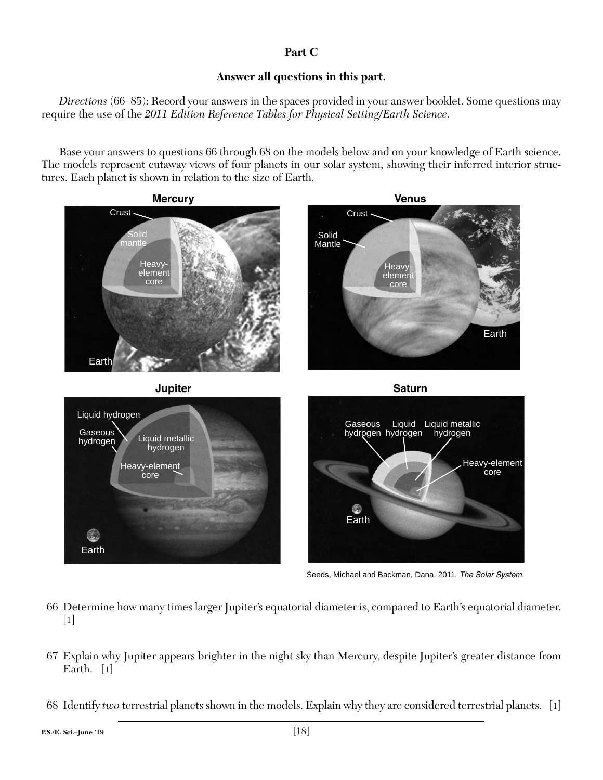# **Part C**

# **Answer all questions in this part.**

*Directions* (66–85): Record your answers in the spaces provided in your answer booklet. Some questions may require the use of the *2011 Edition Reference Tables for Physical Setting/Earth Science*.

Base your answers to questions 66 through 68 on the models below and on your knowledge of Earth science. The models represent cutaway views of four planets in our solar system, showing their inferred interior structures. Each planet is shown in relation to the size of Earth.



Seeds, Michael and Backman, Dana. 2011. The Solar System.

- 66 Determine how many times larger Jupiter's equatorial diameter is, compared to Earth's equatorial diameter.  $\lceil 1 \rceil$
- 67 Explain why Jupiter appears brighter in the night sky than Mercury, despite Jupiter's greater distance from Earth. [1]
- 68 Identify *two* terrestrial planets shown in the models. Explain why they are considered terrestrial planets. [1]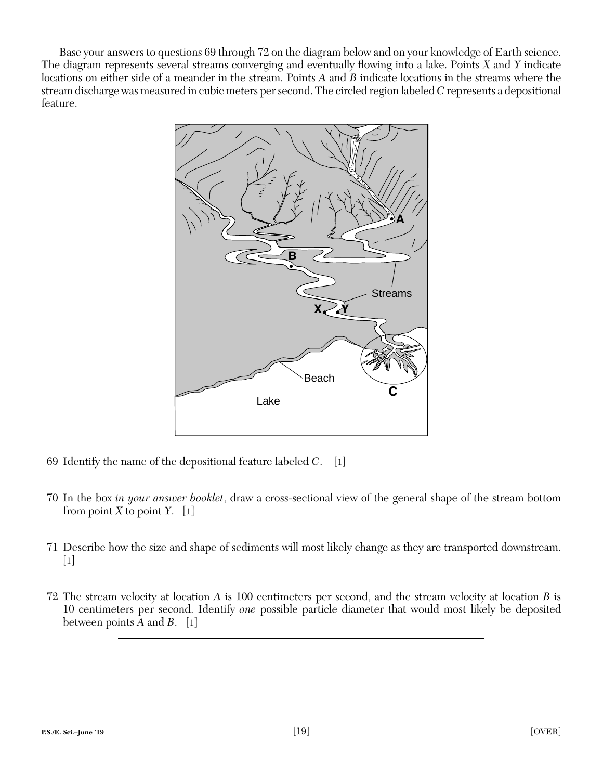Base your answers to questions 69 through 72 on the diagram below and on your knowledge of Earth science. The diagram represents several streams converging and eventually flowing into a lake. Points *X* and *Y* indicate locations on either side of a meander in the stream. Points *A* and *B* indicate locations in the streams where the stream discharge was measured in cubic meters per second. The circled region labeled *C* represents a depositional feature.



- 69 Identify the name of the depositional feature labeled *C*. [1]
- 70 In the box *in your answer booklet*, draw a cross-sectional view of the general shape of the stream bottom from point *X* to point *Y*.  $[1]$
- 71 Describe how the size and shape of sediments will most likely change as they are transported downstream.  $\lceil 1 \rceil$
- 72 The stream velocity at location *A* is 100 centimeters per second, and the stream velocity at location *B* is 10 centimeters per second. Identify *one* possible particle diameter that would most likely be deposited between points *A* and *B*. [1]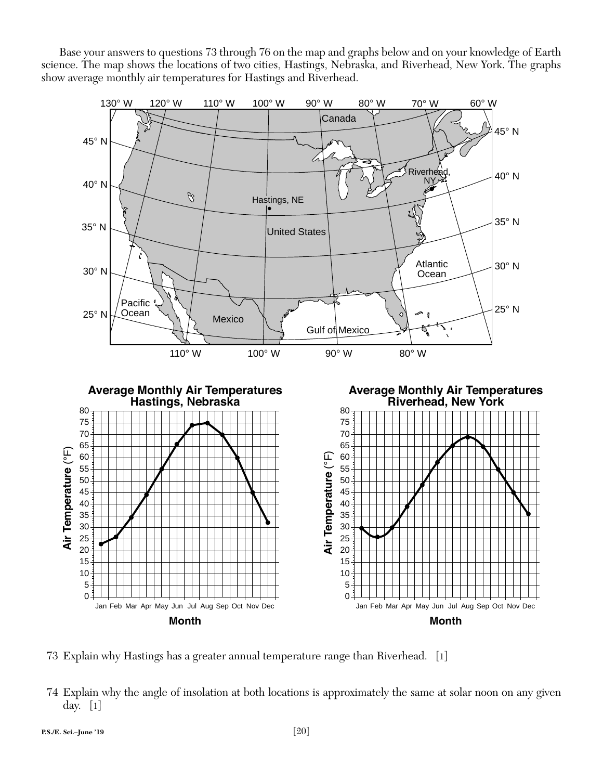Base your answers to questions 73 through 76 on the map and graphs below and on your knowledge of Earth science. The map shows the locations of two cities, Hastings, Nebraska, and Riverhead, New York. The graphs show average monthly air temperatures for Hastings and Riverhead.



73 Explain why Hastings has a greater annual temperature range than Riverhead. [1]

 74 Explain why the angle of insolation at both locations is approximately the same at solar noon on any given day. [1]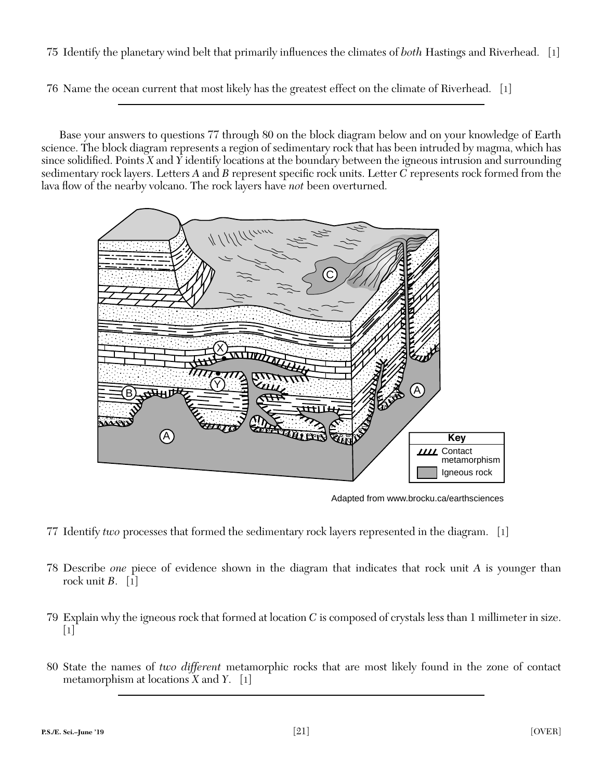75 Identify the planetary wind belt that primarily influences the climates of *both* Hastings and Riverhead. [1]

76 Name the ocean current that most likely has the greatest effect on the climate of Riverhead. [1]

Base your answers to questions 77 through 80 on the block diagram below and on your knowledge of Earth science. The block diagram represents a region of sedimentary rock that has been intruded by magma, which has since solidified. Points  $X$  and  $Y$  identify locations at the boundary between the igneous intrusion and surrounding sedimentary rock layers. Letters A and B represent specific rock units. Letter C represents rock formed from the lava flow of the nearby volcano. The rock layers have *not* been overturned.



Adapted from www.brocku.ca/earthsciences

- 77 Identify *two* processes that formed the sedimentary rock layers represented in the diagram. [1]
- 78 Describe *one* piece of evidence shown in the diagram that indicates that rock unit *A* is younger than rock unit  $B$ . [1]
- 79 Explain why the igneous rock that formed at location *C* is composed of crystals less than 1 millimeter in size.  $\lceil 1 \rceil$
- 80 State the names of *two different* metamorphic rocks that are most likely found in the zone of contact metamorphism at locations *X* and *Y*. [1]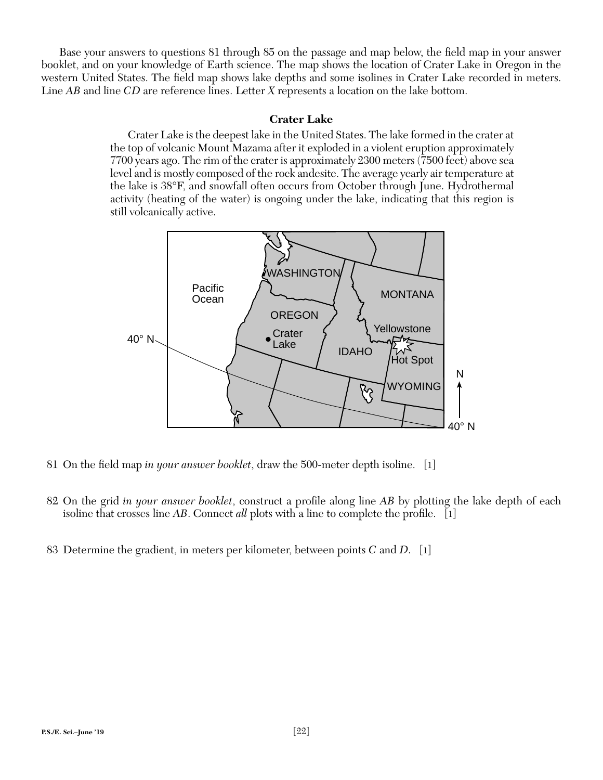Base your answers to questions 81 through 85 on the passage and map below, the field map in your answer booklet, and on your knowledge of Earth science. The map shows the location of Crater Lake in Oregon in the western United States. The field map shows lake depths and some isolines in Crater Lake recorded in meters. Line *AB* and line *CD* are reference lines. Letter *X* represents a location on the lake bottom.

# **Crater Lake**

Crater Lake is the deepest lake in the United States. The lake formed in the crater at the top of volcanic Mount Mazama after it exploded in a violent eruption approximately 7700 years ago. The rim of the crater is approximately 2300 meters (7500 feet) above sea level and is mostly composed of the rock andesite. The average yearly air temperature at the lake is 38°F, and snowfall often occurs from October through June. Hydrothermal activity (heating of the water) is ongoing under the lake, indicating that this region is still volcanically active.



81 On the field map *in your answer booklet*, draw the 500-meter depth isoline. [1]

- 82 On the grid *in your answer booklet*, construct a profile along line *AB* by plotting the lake depth of each isoline that crosses line *AB*. Connect *all* plots with a line to complete the profile. [1]
- 83 Determine the gradient, in meters per kilometer, between points *C* and *D*. [1]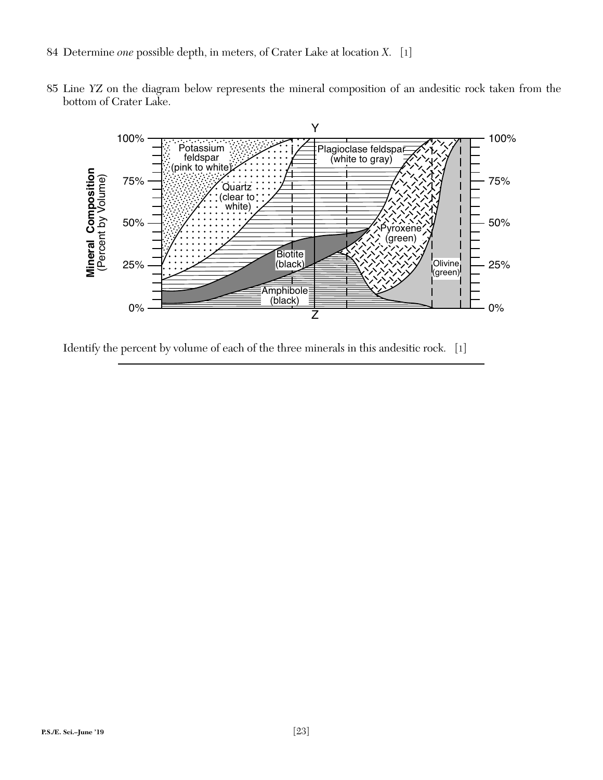- 84 Determine *one* possible depth, in meters, of Crater Lake at location *X*. [1]
- 85 Line *YZ* on the diagram below represents the mineral composition of an andesitic rock taken from the bottom of Crater Lake.



Identify the percent by volume of each of the three minerals in this andesitic rock. [1]